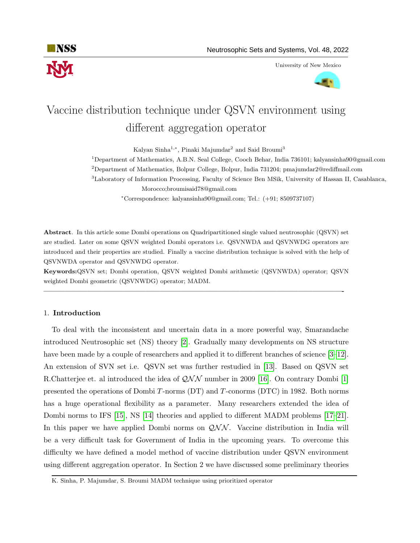

University of New Mexico



# Vaccine distribution technique under QSVN environment using different aggregation operator

Kalyan Sinha<sup>1,∗</sup>, Pinaki Majumdar<sup>2</sup> and Said Broumi<sup>3</sup>

<sup>1</sup>Department of Mathematics, A.B.N. Seal College, Cooch Behar, India 736101; kalyansinha90@gmail.com

 $2$ Department of Mathematics, Bolpur College, Bolpur, India 731204; pmajumdar $2@$ rediffmail.com

<sup>3</sup>Laboratory of Information Processing, Faculty of Science Ben MSik, University of Hassan II, Casablanca, Morocco;broumisaid78@gmail.com

<sup>∗</sup>Correspondence: kalyansinha90@gmail.com; Tel.: (+91; 8509737107)

Abstract. In this article some Dombi operations on Quadripartitioned single valued neutrosophic (QSVN) set are studied. Later on some QSVN weighted Dombi operators i.e. QSVNWDA and QSVNWDG operators are introduced and their properties are studied. Finally a vaccine distribution technique is solved with the help of QSVNWDA operator and QSVNWDG operator.

Keywords:QSVN set; Dombi operation, QSVN weighted Dombi arithmetic (QSVNWDA) operator; QSVN weighted Dombi geometric (QSVNWDG) operator; MADM.

—————————————————————————————————————————-

# 1. Introduction

To deal with the inconsistent and uncertain data in a more powerful way, Smarandache introduced Neutrosophic set (NS) theory [\[2\]](#page-10-0). Gradually many developments on NS structure have been made by a couple of researchers and applied it to different branches of science [\[3–](#page-10-1)[12\]](#page-10-2). An extension of SVN set i.e. QSVN set was further restudied in [\[13\]](#page-10-3). Based on QSVN set R.Chatterjee et. al introduced the idea of  $QNN$  number in 2009 [\[16\]](#page-11-0). On contrary Dombi [\[1\]](#page-10-4) presented the operations of Dombi T-norms (DT) and T-conorms (DTC) in 1982. Both norms has a huge operational flexibility as a parameter. Many researchers extended the idea of Dombi norms to IFS [\[15\]](#page-10-5), NS [\[14\]](#page-10-6) theories and applied to different MADM problems [\[17–](#page-11-1)[21\]](#page-11-2). In this paper we have applied Dombi norms on  $QNN$ . Vaccine distribution in India will be a very difficult task for Government of India in the upcoming years. To overcome this difficulty we have defined a model method of vaccine distribution under QSVN environment using different aggregation operator. In Section 2 we have discussed some preliminary theories

K. Sinha, P. Majumdar, S. Broumi MADM technique using prioritized operator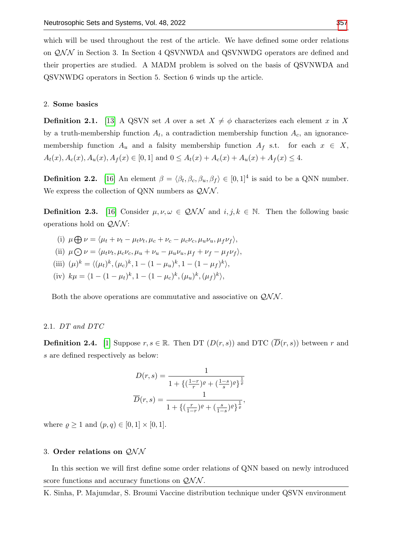which will be used throughout the rest of the article. We have defined some order relations on  $QNN$  in Section 3. In Section 4 QSVNWDA and QSVNWDG operators are defined and their properties are studied. A MADM problem is solved on the basis of QSVNWDA and QSVNWDG operators in Section 5. Section 6 winds up the article.

## 2. Some basics

**Definition 2.1.** [\[13\]](#page-10-3) A QSVN set A over a set  $X \neq \phi$  characterizes each element x in X by a truth-membership function  $A_t$ , a contradiction membership function  $A_c$ , an ignorancemembership function  $A_u$  and a falsity membership function  $A_f$  s.t. for each  $x \in X$ ,  $A_t(x), A_c(x), A_u(x), A_f(x) \in [0,1]$  and  $0 \leq A_t(x) + A_c(x) + A_u(x) + A_f(x) \leq 4$ .

**Definition 2.2.** [\[16\]](#page-11-0) An element  $\beta = \langle \beta_t, \beta_c, \beta_u, \beta_f \rangle \in [0, 1]^4$  is said to be a QNN number. We express the collection of QNN numbers as  $QNN$ .

**Definition 2.3.** [\[16\]](#page-11-0) Consider  $\mu, \nu, \omega \in Q\mathcal{NN}$  and  $i, j, k \in \mathbb{N}$ . Then the following basic operations hold on  $\mathcal{QNN}$ :

- (i)  $\mu \bigoplus \nu = \langle \mu_t + \nu_t \mu_t \nu_t, \mu_c + \nu_c \mu_c \nu_c, \mu_u \nu_u, \mu_f \nu_f \rangle,$
- (ii)  $\mu \bigodot \nu = \langle \mu_t \nu_t, \mu_c \nu_c, \mu_u + \nu_u \mu_u \nu_u, \mu_f + \nu_f \mu_f \nu_f \rangle,$
- (iii)  $(\mu)^k = \langle (\mu_t)^k, (\mu_c)^k, 1 (1 \mu_u)^k, 1 (1 \mu_f)^k \rangle,$
- (iv)  $k\mu = \langle 1 (1 \mu_t)^k, 1 (1 \mu_c)^k, (\mu_u)^k, (\mu_f)^k \rangle,$

Both the above operations are commutative and associative on  $\mathcal{QNN}$ .

## 2.1. DT and DTC

**Definition 2.4.** [\[1\]](#page-10-4) Suppose  $r, s \in \mathbb{R}$ . Then DT  $(D(r, s))$  and DTC  $(\overline{D}(r, s))$  between r and s are defined respectively as below:

$$
D(r,s) = \frac{1}{1 + \left\{ \left( \frac{1-r}{r} \right) e + \left( \frac{1-s}{s} \right) e \right\}^{\frac{1}{\varrho}}}
$$

$$
\overline{D}(r,s) = \frac{1}{1 + \left\{ \left( \frac{r}{1-r} \right) e + \left( \frac{s}{1-s} \right) e \right\}^{\frac{1}{\varrho}}},
$$

where  $\rho \geq 1$  and  $(p, q) \in [0, 1] \times [0, 1]$ .

# 3. Order relations on  $QNN$

In this section we will first define some order relations of QNN based on newly introduced score functions and accuracy functions on  $QNN$ .

K. Sinha, P. Majumdar, S. Broumi Vaccine distribution technique under QSVN environment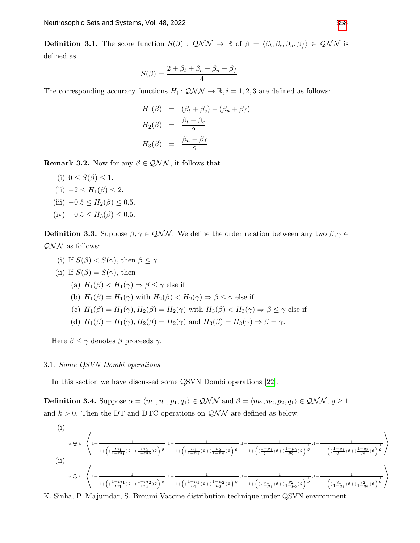<span id="page-2-0"></span>**Definition 3.1.** The score function  $S(\beta)$ :  $QNN \rightarrow \mathbb{R}$  of  $\beta = \langle \beta_t, \beta_c, \beta_u, \beta_f \rangle \in QNN$  is defined as

$$
S(\beta) = \frac{2 + \beta_t + \beta_c - \beta_u - \beta_f}{4}
$$

The corresponding accuracy functions  $H_i: \mathcal{QNN} \to \mathbb{R}, i = 1, 2, 3$  are defined as follows:

$$
H_1(\beta) = (\beta_t + \beta_c) - (\beta_u + \beta_f)
$$
  
\n
$$
H_2(\beta) = \frac{\beta_t - \beta_c}{2}
$$
  
\n
$$
H_3(\beta) = \frac{\beta_u - \beta_f}{2}.
$$

**Remark 3.2.** Now for any  $\beta \in QNN$ , it follows that

- (i)  $0 \leq S(\beta) \leq 1$ .
- (ii)  $-2 \leq H_1(\beta) \leq 2$ .
- (iii)  $-0.5 \leq H_2(\beta) \leq 0.5$ .
- (iv)  $-0.5 \leq H_3(\beta) \leq 0.5$ .

**Definition 3.3.** Suppose  $\beta, \gamma \in QNN$ . We define the order relation between any two  $\beta, \gamma \in$  $QNN$  as follows:

- (i) If  $S(\beta) < S(\gamma)$ , then  $\beta \leq \gamma$ .
- (ii) If  $S(\beta) = S(\gamma)$ , then
	- (a)  $H_1(\beta) < H_1(\gamma) \Rightarrow \beta \leq \gamma$  else if
	- (b)  $H_1(\beta) = H_1(\gamma)$  with  $H_2(\beta) < H_2(\gamma) \Rightarrow \beta \leq \gamma$  else if
	- (c)  $H_1(\beta) = H_1(\gamma), H_2(\beta) = H_2(\gamma)$  with  $H_3(\beta) < H_3(\gamma) \Rightarrow \beta \leq \gamma$  else if
	- (d)  $H_1(\beta) = H_1(\gamma)$ ,  $H_2(\beta) = H_2(\gamma)$  and  $H_3(\beta) = H_3(\gamma) \Rightarrow \beta = \gamma$ .

Here  $\beta \leq \gamma$  denotes  $\beta$  proceeds  $\gamma$ .

#### 3.1. Some QSVN Dombi operations

In this section we have discussed some QSVN Dombi operations [\[22\]](#page-11-4).

**Definition 3.4.** Suppose  $\alpha = \langle m_1, n_1, p_1, q_1 \rangle \in QNN$  and  $\beta = \langle m_2, n_2, p_2, q_1 \rangle \in QNN$ ,  $\rho \ge 1$ and  $k > 0$ . Then the DT and DTC operations on  $QNN$  are defined as below:

(i)  
\n
$$
\alpha \oplus \beta = \left\{ 1 - \frac{1}{1 + \left( (\frac{m_1}{1 - m_1}) \varrho + (\frac{m_2}{1 - m_2}) \varrho \right)^{\frac{1}{\varrho}}}, 1 - \frac{1}{1 + \left( (\frac{n_1}{1 - n_1}) \varrho + (\frac{n_2}{1 - n_2}) \varrho \right)^{\frac{1}{\varrho}}}, 1 - \frac{1}{1 + \left( (\frac{1 - p_1}{p_1}) \varrho + (\frac{1 - p_2}{p_2}) \varrho \right)^{\frac{1}{\varrho}}}, 1 - \frac{1}{1 + \left( (\frac{1 - q_1}{q_1}) \varrho + (\frac{1 - q_2}{q_2}) \varrho \right)^{\frac{1}{\varrho}}}} \right\}
$$
\n(ii)  
\n
$$
\alpha \ominus \beta = \left\{ 1 - \frac{1}{1 + \left( (\frac{1 - m_1}{m_1}) \varrho + (\frac{1 - m_2}{m_2}) \varrho \right)^{\frac{1}{\varrho}}}, 1 - \frac{1}{1 + \left( (\frac{1 - n_1}{n_1}) \varrho + (\frac{1 - n_2}{n_2}) \varrho \right)^{\frac{1}{\varrho}}}, 1 - \frac{1}{1 + \left( (\frac{p_1}{1 - p_1}) \varrho + (\frac{p_2}{1 - p_2}) \varrho \right)^{\frac{1}{\varrho}}}, 1 - \frac{1}{1 + \left( (\frac{q_1}{1 - q_1}) \varrho + (\frac{q_2}{1 - q_2}) \varrho \right)^{\frac{1}{\varrho}}}} \right\}
$$

K. Sinha, P. Majumdar, S. Broumi Vaccine distribution technique under QSVN environment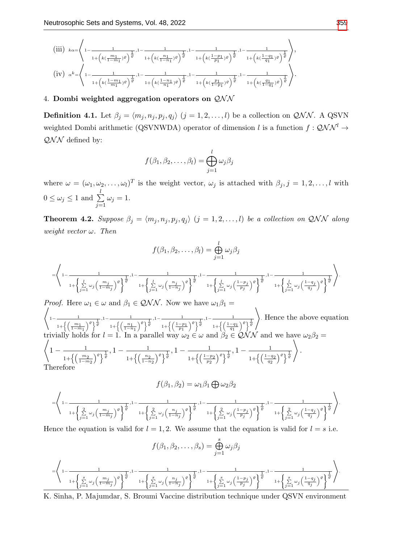(iii) kα<sup>=</sup> \* 1− 1 1+ k( m1 1−m1 )% 1 % ,1− 1 1+ k( n1 1−n1 )% 1 % ,1− 1 1+ k( 1−p1 p1 )% 1 % ,1− 1 1+ k( 1−q1 q1 )% 1 % + , (iv) <sup>α</sup> k= \* 1− 1 1+ k( <sup>1</sup>−m<sup>1</sup> <sup>m</sup><sup>1</sup> )% 1 % ,1− 1 1+ k( 1−n1 n1 )% 1 % ,1− 1 1+ k( p1 1−p1 )% 1 % ,1− 1 1+ k( q1 1−q1 )% 1 % + .

# 4. Dombi weighted aggregation operators on  $QNN$

<span id="page-3-0"></span>**Definition 4.1.** Let  $\beta_j = \langle m_j, n_j, p_j, q_j \rangle$   $(j = 1, 2, ..., l)$  be a collection on  $QNN$ . A QSVN weighted Dombi arithmetic (QSVNWDA) operator of dimension l is a function  $f: Q\mathcal{NN}^l \to$  $\mathcal{QNN}$  defined by:

$$
f(\beta_1, \beta_2, \dots, \beta_l) = \bigoplus_{j=1}^l \omega_j \beta_j
$$

where  $\omega = (\omega_1, \omega_2, \dots, \omega_l)^T$  is the weight vector,  $\omega_j$  is attached with  $\beta_j, j = 1, 2, \dots, l$  with  $0 \leq \omega_j \leq 1 \text{ and } \sum^l$  $j=1$  $\omega_j=1.$ 

<span id="page-3-1"></span>**Theorem 4.2.** Suppose  $\beta_j = \langle m_j, n_j, p_j, q_j \rangle$   $(j = 1, 2, ..., l)$  be a collection on QNN along weight vector  $\omega$ . Then

$$
f(\beta_1, \beta_2, \dots, \beta_l) = \bigoplus_{j=1}^l \omega_j \beta_j
$$
  

$$
= \left\langle 1 - \frac{1}{1 + \left\{ \sum_{j=1}^l \omega_j \left( \frac{m_j}{1 - m_j} \right)^{\varrho} \right\}^{\frac{1}{\varrho}}, 1 - \frac{1}{1 + \left\{ \sum_{j=1}^l \omega_j \left( \frac{n_j}{1 - n_j} \right)^{\varrho} \right\}^{\frac{1}{\varrho}}}, 1 - \frac{1}{1 + \left\{ \sum_{j=1}^l \omega_j \left( \frac{1 - p_j}{p_j} \right)^{\varrho} \right\}^{\frac{1}{\varrho}}}, 1 - \frac{1}{1 + \left\{ \sum_{j=1}^l \omega_j \left( \frac{1 - q_j}{q_j} \right)^{\varrho} \right\}^{\frac{1}{\varrho}}}} \right\rangle.
$$

\* *Proof.* Here  $\omega_1 \in \omega$  and  $\beta_1 \in \mathcal{QNN}$ . Now we have  $\omega_1\beta_1 =$  $1 - \frac{1}{1}$  $1+\left\{\left(\frac{m_1}{1-m_1}\right.$  $\frac{1}{\sqrt{2}}$ , 1 –  $\frac{1}{\sqrt{2}}$  $1+\left\{\left(\frac{n_1}{1-n_1}\right.$  $\frac{1}{\sqrt{2}}$ , 1 –  $\frac{1}{\sqrt{2}}$  $1+\left\{\left(\frac{1-p_1}{p_1}\right)$  $\frac{1}{\sqrt{e} \frac{1}{\sqrt{e}}}$ , 1 -  $\frac{1}{\sqrt{1-e}}$  $1+\left\{\left(\frac{1-q_1}{q_1}\right)$  $\sqrt{e}$   $\frac{1}{e}$  $\setminus$ . Hence the above equation trivially holds for  $l = 1$ . In a parallel way  $\omega_2 \in \omega$  and  $\beta_2 \in \mathcal{QNN}$  and we have  $\omega_2\beta_2 =$ \*  $1 - \frac{1}{1}$  $\frac{1}{1+\left\{\left(\frac{m_2}{1-m_2}\right)^{\varrho}\right\}^{\frac{1}{\varrho}}}, 1-\frac{1}{1+\left\{\left(\frac{n_2}{1-n_2}\right)^{\varrho}\right\}^{\frac{1}{\varrho}}}.$  $\frac{1}{1+\left\{\left(\frac{n_2}{1-n_2}\right)^{\varrho}\right\}^{\frac{1}{\varrho}}}, 1-\frac{1}{1+\left\{\left(\frac{1-\eta}{p_2}\right)^{\varrho}\right\}^{\frac{1}{\varrho}}}.$  $\frac{1}{1+\left\{\left(\frac{1-p_2}{p_2}\right)^{\varrho}\right\}^{\frac{1}{\varrho}}}, 1-\frac{1}{1+\left\{\left(\frac{1-q}{q_2}\right)^{\varrho}\right\}^{\frac{1}{\varrho}}}.$  $1+\left\{\left(\frac{1-q_2}{q_2}\right)^{\varrho}\right\}^{\frac{1}{\varrho}}$  $\setminus$ . Therefore

$$
f(\beta_1, \beta_2) = \omega_1 \beta_1 \bigoplus \omega_2 \beta_2
$$
  
=  $\left\langle 1 - \frac{1}{1 + \left\{ \sum_{j=1}^2 \omega_j \left( \frac{m_j}{1 - m_j} \right)^{\rho} \right\}^{\frac{1}{\rho}}, 1 - \frac{1}{1 + \left\{ \sum_{j=1}^2 \omega_j \left( \frac{n_j}{1 - n_j} \right)^{\rho} \right\}^{\frac{1}{\rho}}}, 1 - \frac{1}{1 + \left\{ \sum_{j=1}^2 \omega_j \left( \frac{1 - p_j}{p_j} \right)^{\rho} \right\}^{\frac{1}{\rho}}}, 1 - \frac{1}{1 + \left\{ \sum_{j=1}^2 \omega_j \left( \frac{1 - q_j}{q_j} \right)^{\rho} \right\}^{\frac{1}{\rho}}}} \right\rangle$ 

Hence the equation is valid for  $l = 1, 2$ . We assume that the equation is valid for  $l = s$  i.e.

$$
f(\beta_1, \beta_2, \dots, \beta_s) = \bigoplus_{j=1}^s \omega_j \beta_j
$$

$$
= \left\langle 1 - \frac{1}{1 + \left\{ \sum_{j=1}^s \omega_j \left( \frac{m_j}{1 - m_j} \right)^{\varrho} \right\}^{\frac{1}{\varrho}}, 1 - \frac{1}{1 + \left\{ \sum_{j=1}^s \omega_j \left( \frac{n_j}{1 - n_j} \right)^{\varrho} \right\}^{\frac{1}{\varrho}}}, 1 - \frac{1}{1 + \left\{ \sum_{j=1}^s \omega_j \left( \frac{1 - p_j}{p_j} \right)^{\varrho} \right\}^{\frac{1}{\varrho}}}, 1 - \frac{1}{1 + \left\{ \sum_{j=1}^s \omega_j \left( \frac{1 - q_j}{q_j} \right)^{\varrho} \right\}^{\frac{1}{\varrho}}}} \right\rangle.
$$

K. Sinha, P. Majumdar, S. Broumi Vaccine distribution technique under QSVN environment

.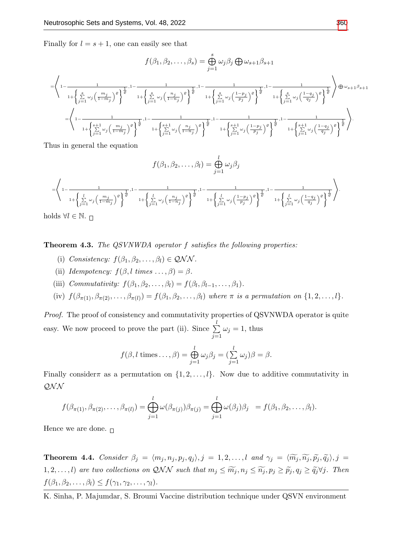Finally for  $l = s + 1$ , one can easily see that

$$
f(\beta_1, \beta_2, \dots, \beta_s) = \bigoplus_{j=1}^s \omega_j \beta_j \bigoplus \omega_{s+1} \beta_{s+1}
$$
  
\n
$$
= \left\langle 1 - \frac{1}{1 + \left\{ \sum_{j=1}^s \omega_j \left( \frac{m_j}{1 - m_j} \right)^{\varrho} \right\}^{\frac{1}{\varrho}}, 1 - \frac{1}{1 + \left\{ \sum_{j=1}^s \omega_j \left( \frac{n_j}{1 - n_j} \right)^{\varrho} \right\}^{\frac{1}{\varrho}}}, 1 - \frac{1}{1 + \left\{ \sum_{j=1}^s \omega_j \left( \frac{1 - p_j}{1 - n_j} \right)^{\varrho} \right\}^{\frac{1}{\varrho}}}, 1 - \frac{1}{1 + \left\{ \sum_{j=1}^s \omega_j \left( \frac{1 - q_j}{1 - q_j} \right)^{\varrho} \right\}^{\frac{1}{\varrho}}}} \right\} \oplus \omega_{s+1} \beta_{s+1}
$$
  
\n
$$
= \left\langle 1 - \frac{1}{1 + \left\{ \sum_{j=1}^{s+1} \omega_j \left( \frac{m_j}{1 - m_j} \right)^{\varrho} \right\}^{\frac{1}{\varrho}}}, 1 - \frac{1}{1 + \left\{ \sum_{j=1}^{s+1} \omega_j \left( \frac{n_j}{1 - n_j} \right)^{\varrho} \right\}^{\frac{1}{\varrho}}}, 1 - \frac{1}{1 + \left\{ \sum_{j=1}^{s+1} \omega_j \left( \frac{1 - p_j}{p_j} \right)^{\varrho} \right\}^{\frac{1}{\varrho}}}}, 1 - \frac{1}{1 + \left\{ \sum_{j=1}^{s+1} \omega_j \left( \frac{1 - q_j}{q_j} \right)^{\varrho} \right\}^{\frac{1}{\varrho}}}} \right\rbrace.
$$

Thus in general the equation

$$
f(\beta_1, \beta_2, \dots, \beta_l) = \bigoplus_{j=1}^l \omega_j \beta_j
$$
  
=  $\left\langle 1 - \frac{1}{1 + \left\{ \sum\limits_{j=1}^l \omega_j \left( \frac{m_j}{1 - m_j} \right)^{\varrho} \right\}^{\frac{1}{\varrho}}, 1 - \frac{1}{1 + \left\{ \sum\limits_{j=1}^l \omega_j \left( \frac{n_j}{1 - n_j} \right)^{\varrho} \right\}^{\frac{1}{\varrho}}}, 1 - \frac{1}{1 + \left\{ \sum\limits_{j=1}^l \omega_j \left( \frac{1 - p_j}{p_j} \right)^{\varrho} \right\}^{\frac{1}{\varrho}}}, 1 - \frac{1}{1 + \left\{ \sum\limits_{j=1}^l \omega_j \left( \frac{1 - q_j}{q_j} \right)^{\varrho} \right\}^{\frac{1}{\varrho}}}} \right\rangle$ .

holds  $\forall l \in \mathbb{N}$ .  $\Box$ 

<span id="page-4-0"></span>Theorem 4.3. The QSVNWDA operator f satisfies the following properties:

- (i) Consistency:  $f(\beta_1, \beta_2, \ldots, \beta_l) \in \mathcal{QNN}$ .
- (ii) Idempotency:  $f(\beta, l \times ... , \beta) = \beta$ .
- (iii) Commutativity:  $f(\beta_1, \beta_2, \ldots, \beta_l) = f(\beta_l, \beta_{l-1}, \ldots, \beta_1)$ .
- (iv)  $f(\beta_{\pi(1)}, \beta_{\pi(2)}, \ldots, \beta_{\pi(l)}) = f(\beta_1, \beta_2, \ldots, \beta_l)$  where  $\pi$  is a permutation on  $\{1, 2, \ldots, l\}$ .

Proof. The proof of consistency and commutativity properties of QSVNWDA operator is quite easy. We now proceed to prove the part (ii). Since  $\sum_{i=1}^{l}$  $j=1$  $\omega_j = 1$ , thus

$$
f(\beta, l \text{ times} \dots, \beta) = \bigoplus_{j=1}^{l} \omega_j \beta_j = (\sum_{j=1}^{l} \omega_j)\beta = \beta.
$$

Finally consider  $\pi$  as a permutation on  $\{1, 2, \ldots, l\}$ . Now due to additive commutativity in QN N

$$
f(\beta_{\pi(1)},\beta_{\pi(2)},\ldots,\beta_{\pi(l)})=\bigoplus_{j=1}^l\omega(\beta_{\pi(j)})\beta_{\pi(j)}=\bigoplus_{j=1}^l\omega(\beta_j)\beta_j=f(\beta_1,\beta_2,\ldots,\beta_l).
$$

Hence we are done.  $\Box$ 

<span id="page-4-1"></span>**Theorem 4.4.** Consider  $\beta_j = \langle m_j, n_j, p_j, q_j \rangle, j = 1, 2, ..., l$  and  $\gamma_j = \langle \widetilde{m_j}, \widetilde{n_j}, \widetilde{p_j}, \widetilde{q_j} \rangle, j =$ 1, 2, ..., *l*) are two collections on QNN such that  $m_j \leq \widetilde{m}_j, n_j \leq \widetilde{n}_j, p_j \geq \widetilde{p}_j, q_j \geq \widetilde{q}_j \forall j$ . Then  $f(\beta_1, \beta_2, \ldots, \beta_l) \leq f(\gamma_1, \gamma_2, \ldots, \gamma_l).$ 

K. Sinha, P. Majumdar, S. Broumi Vaccine distribution technique under QSVN environment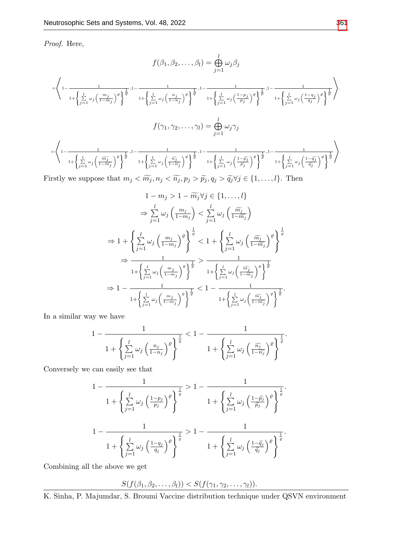Proof. Here,

$$
f(\beta_1, \beta_2, \dots, \beta_l) = \bigoplus_{j=1}^l \omega_j \beta_j
$$
  

$$
= \left\langle 1 - \frac{1}{1 + \left\{ \sum_{j=1}^l \omega_j \left( \frac{m_j}{1 - m_j} \right)^{\rho} \right\}^{\frac{1}{\rho}}, 1 - \frac{1}{1 + \left\{ \sum_{j=1}^l \omega_j \left( \frac{n_j}{1 - n_j} \right)^{\rho} \right\}^{\frac{1}{\rho}}}, 1 - \frac{1}{1 + \left\{ \sum_{j=1}^l \omega_j \left( \frac{1 - p_j}{p_j} \right)^{\rho} \right\}^{\frac{1}{\rho}}}, 1 - \frac{1}{1 + \left\{ \sum_{j=1}^l \omega_j \left( \frac{1 - q_j}{q_j} \right)^{\rho} \right\}^{\frac{1}{\rho}}}} \right\rangle}.
$$
  

$$
f(\gamma_1, \gamma_2, \dots, \gamma_l) = \bigoplus_{j=1}^l \omega_j \gamma_j
$$
  

$$
= \left\langle 1 - \frac{1}{1 + \left\{ \sum_{j=1}^l \omega_j \left( \frac{\widetilde{m_j}}{1 - \widetilde{m_j}} \right)^{\rho} \right\}^{\frac{1}{\varrho}}, 1 - \frac{1}{1 + \left\{ \sum_{j=1}^l \omega_j \left( \frac{\widetilde{n_j}}{1 - \widetilde{n_j}} \right)^{\rho} \right\}^{\frac{1}{\varrho}}}, 1 - \frac{1}{1 + \left\{ \sum_{j=1}^l \omega_j \left( \frac{1 - \widetilde{p_j}}{\widetilde{p_j}} \right)^{\rho} \right\}^{\frac{1}{\varrho}}}, 1 - \frac{1}{1 + \left\{ \sum_{j=1}^l \omega_j \left( \frac{1 - \widetilde{q_j}}{\widetilde{q_j}} \right)^{\rho} \right\}^{\frac{1}{\varrho}}}} \right\rangle}.
$$

Firstly we suppose that  $m_j < \widetilde{m_j}, n_j < \widetilde{n_j}, p_j > \widetilde{p_j}, q_j > \widetilde{q_j} \forall j \in \{1, ..., l\}$ . Then

$$
1 - m_j > 1 - \widetilde{m}_j \forall j \in \{1, \ldots, l\}
$$
\n
$$
\Rightarrow \sum_{j=1}^{l} \omega_j \left(\frac{m_j}{1 - m_j}\right) < \sum_{j=1}^{l} \omega_j \left(\frac{\widetilde{m}_j}{1 - \widetilde{m}_j}\right)
$$
\n
$$
\Rightarrow 1 + \left\{\sum_{j=1}^{l} \omega_j \left(\frac{m_j}{1 - m_j}\right)^{\varrho}\right\}^{\frac{1}{\varrho}} < 1 + \left\{\sum_{j=1}^{l} \omega_j \left(\frac{\widetilde{m}_j}{1 - \widetilde{m}_j}\right)^{\varrho}\right\}^{\frac{1}{\varrho}}
$$
\n
$$
\Rightarrow \frac{1}{1 + \left\{\sum_{j=1}^{l} \omega_j \left(\frac{m_j}{1 - m_j}\right)^{\varrho}\right\}^{\frac{1}{\varrho}}} > \frac{1}{1 + \left\{\sum_{j=1}^{l} \omega_j \left(\frac{\widetilde{m}_j}{1 - \widetilde{m}_j}\right)^{\varrho}\right\}^{\frac{1}{\varrho}}}
$$
\n
$$
\Rightarrow 1 - \frac{1}{1 + \left\{\sum_{j=1}^{l} \omega_j \left(\frac{m_j}{1 - m_j}\right)^{\varrho}\right\}^{\frac{1}{\varrho}}} < 1 - \frac{1}{1 + \left\{\sum_{j=1}^{l} \omega_j \left(\frac{\widetilde{m}_j}{1 - \widetilde{m}_j}\right)^{\varrho}\right\}^{\frac{1}{\varrho}}}
$$

In a similar way we have

$$
1 - \frac{1}{1 + \left\{ \sum\limits_{j=1}^{l} \omega_j \left( \frac{n_j}{1 - n_j} \right)^{\varrho} \right\}^{\frac{1}{\varrho}}} < 1 - \frac{1}{1 + \left\{ \sum\limits_{j=1}^{l} \omega_j \left( \frac{\widetilde{n_j}}{1 - \widetilde{n_j}} \right)^{\varrho} \right\}^{\frac{1}{\varrho}}}.
$$

Conversely we can easily see that

$$
1 - \frac{1}{1 + \left\{ \sum_{j=1}^{l} \omega_j \left( \frac{1 - p_j}{p_j} \right)^{\varrho} \right\}^{\frac{1}{\varrho}}} > 1 - \frac{1}{1 + \left\{ \sum_{j=1}^{l} \omega_j \left( \frac{1 - \tilde{p}_j}{\tilde{p}_j} \right)^{\varrho} \right\}^{\frac{1}{\varrho}}}.
$$

$$
1 - \frac{1}{1 + \left\{ \sum_{j=1}^{l} \omega_j \left( \frac{1 - q_j}{q_j} \right)^{\varrho} \right\}^{\frac{1}{\varrho}}} > 1 - \frac{1}{1 + \left\{ \sum_{j=1}^{l} \omega_j \left( \frac{1 - \tilde{q}_j}{\tilde{q}_j} \right)^{\varrho} \right\}^{\frac{1}{\varrho}}}.
$$

Combining all the above we get

$$
S(f(\beta_1,\beta_2,\ldots,\beta_l)) < S(f(\gamma_1,\gamma_2,\ldots,\gamma_l)).
$$

K. Sinha, P. Majumdar, S. Broumi Vaccine distribution technique under QSVN environment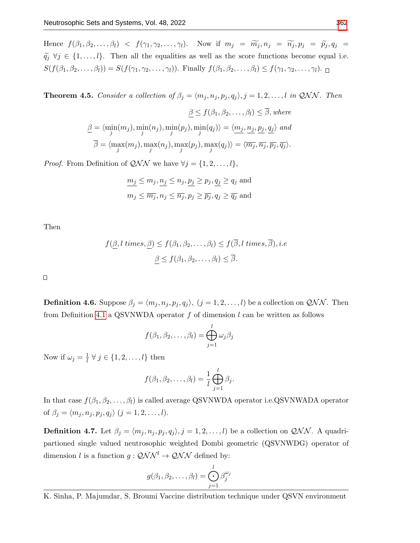Hence  $f(\beta_1, \beta_2, \ldots, \beta_l) < f(\gamma_1, \gamma_2, \ldots, \gamma_l)$ . Now if  $m_j = \widetilde{m_j}, n_j = \widetilde{n_j}, p_j = \widetilde{p_j}, q_j =$  $\tilde{q}_j \ \forall j \in \{1, \ldots, l\}.$  Then all the equalities as well as the score functions become equal i.e.  $S(f(\beta_1, \beta_2, \ldots, \beta_l)) = S(f(\gamma_1, \gamma_2, \ldots, \gamma_l))$ . Finally  $f(\beta_1, \beta_2, \ldots, \beta_l) \le f(\gamma_1, \gamma_2, \ldots, \gamma_l)$ .

<span id="page-6-0"></span>**Theorem 4.5.** Consider a collection of  $\beta_j = \langle m_j, n_j, p_j, q_j \rangle$ ,  $j = 1, 2, ..., l$  in QNN. Then

$$
\underline{\beta} \le f(\beta_1, \beta_2, \dots, \beta_l) \le \overline{\beta}, where
$$
  

$$
\underline{\beta} = \langle \min_j(m_j), \min_j(n_j), \min_j(p_j), \min_j(q_j) \rangle = \langle \underbrace{m_j, n_j, p_j, q_j}_{\overline{\beta}} \rangle \text{ and }
$$
  

$$
\overline{\beta} = \langle \max_j(m_j), \max_j(n_j), \max_j(p_j), \max_j(q_j) \rangle = \langle \overline{m_j}, \overline{n_j}, \overline{p_j}, \overline{q_j} \rangle.
$$

*Proof.* From Definition of  $QNN$  we have  $\forall j = \{1, 2, ..., l\},$ 

$$
\underline{m_j} \le m_j, \underline{n_j} \le n_j, \underline{p_j} \ge p_j, \underline{q_j} \ge q_j \text{ and}
$$
  

$$
m_j \le \overline{m_j}, n_j \le \overline{n_j}, p_j \ge \overline{p_j}, q_j \ge \overline{q_j} \text{ and}
$$

Then

$$
f(\underline{\beta}, l \ times, \underline{\beta}) \le f(\beta_1, \beta_2, \dots, \beta_l) \le f(\overline{\beta}, l \ times, \overline{\beta}), i.e
$$

$$
\beta \le f(\beta_1, \beta_2, \dots, \beta_l) \le \overline{\beta}.
$$

 $\Box$ 

**Definition 4.6.** Suppose  $\beta_j = \langle m_j, n_j, p_j, q_j \rangle$ ,  $(j = 1, 2, ..., l)$  be a collection on  $\mathcal{QNN}$ . Then from Definition [4.1](#page-3-0) a QSVNWDA operator  $f$  of dimension  $l$  can be written as follows

$$
f(\beta_1, \beta_2, \dots, \beta_l) = \bigoplus_{j=1}^l \omega_j \beta_j
$$

Now if  $\omega_j = \frac{1}{l}$  $\frac{1}{l} \forall j \in \{1, 2, \ldots, l\}$  then

$$
f(\beta_1, \beta_2, \ldots, \beta_l) = \frac{1}{l} \bigoplus_{j=1}^l \beta_j.
$$

In that case  $f(\beta_1, \beta_2, \ldots, \beta_l)$  is called average QSVNWDA operator i.e.QSVNWADA operator of  $\beta_j = \langle m_j , n_j , p_j , q_j \rangle$   $(j = 1, 2, \ldots, l).$ 

<span id="page-6-1"></span>**Definition 4.7.** Let  $\beta_j = \langle m_j, n_j, p_j, q_j \rangle$ ,  $j = 1, 2, ..., l$ ) be a collection on  $\mathcal{QNN}$ . A quadripartioned single valued neutrosophic weighted Dombi geometric (QSVNWDG) operator of dimension l is a function  $g: \mathcal{QNN}^l \to \mathcal{QNN}$  defined by:

$$
g(\beta_1, \beta_2, \dots, \beta_l) = \bigoplus_{j=1}^l \beta_j^{\omega_j}
$$

K. Sinha, P. Majumdar, S. Broumi Vaccine distribution technique under QSVN environment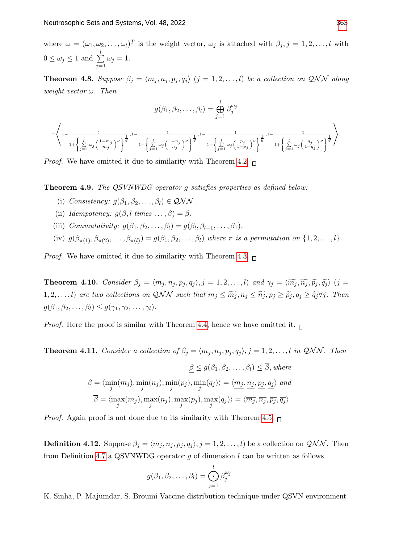=

where  $\omega = (\omega_1, \omega_2, \dots, \omega_l)^T$  is the weight vector,  $\omega_j$  is attached with  $\beta_j, j = 1, 2, \dots, l$  with  $0 \leq \omega_j \leq 1$  and  $\sum^l$  $j=1$  $\omega_j=1.$ 

**Theorem 4.8.** Suppose  $\beta_j = \langle m_j, n_j, p_j, q_j \rangle$   $(j = 1, 2, ..., l)$  be a collection on QNN along weight vector  $\omega$ . Then

$$
g(\beta_1, \beta_2, \dots, \beta_l) = \bigoplus_{j=1}^l \beta_j^{\omega_j}
$$

$$
\left\langle 1 - \frac{1}{1 + \left\{ \sum_{j=1}^l \omega_j \left( \frac{1 - m_j}{m_j} \right)^\varrho \right\}^{\frac{1}{\varrho}}, 1 - \frac{1}{1 + \left\{ \sum_{j=1}^l \omega_j \left( \frac{1 - n_j}{n_j} \right)^\varrho \right\}^{\frac{1}{\varrho}}, 1 - \frac{1}{1 + \left\{ \sum_{j=1}^l \omega_j \left( \frac{p_j}{1 - p_j} \right)^\varrho \right\}^{\frac{1}{\varrho}}}, 1 - \frac{1}{1 + \left\{ \sum_{j=1}^l \omega_j \left( \frac{q_j}{1 - q_j} \right)^\varrho \right\}^{\frac{1}{\varrho}}}} \right\rangle.
$$

*Proof.* We have omitted it due to similarity with Theorem [4.2.](#page-3-1)  $\Box$ 

Theorem 4.9. The QSVNWDG operator g satisfies properties as defined below:

- (i) Consistency:  $q(\beta_1, \beta_2, \ldots, \beta_l) \in \mathcal{QNN}$ .
- (ii) Idempotency:  $g(\beta, l \times ... , \beta) = \beta$ .
- (iii) Commutativity:  $g(\beta_1, \beta_2, \ldots, \beta_l) = g(\beta_l, \beta_{l-1}, \ldots, \beta_1)$ .
- (iv)  $g(\beta_{\pi(1)}, \beta_{\pi(2)}, \ldots, \beta_{\pi(l)}) = g(\beta_1, \beta_2, \ldots, \beta_l)$  where  $\pi$  is a permutation on  $\{1, 2, \ldots, l\}$ .

*Proof.* We have omitted it due to similarity with Theorem [4.3.](#page-4-0)  $\Box$ 

**Theorem 4.10.** Consider  $\beta_j = \langle m_j , n_j , p_j , q_j \rangle$ ,  $j = 1, 2, ..., l$ ) and  $\gamma_j = \langle \widetilde{m_j}, \widetilde{n_j}, \widetilde{p_j}, \widetilde{q_j} \rangle$  (j = 1, 2, ..., *l*) are two collections on QNN such that  $m_j \leq \widetilde{m}_j$ ,  $n_j \leq \widetilde{n}_j$ ,  $p_j \geq \widetilde{p}_j$ ,  $q_j \geq \widetilde{q}_j \forall j$ . Then  $g(\beta_1, \beta_2, \ldots, \beta_l) \leq g(\gamma_1, \gamma_2, \ldots, \gamma_l).$ 

*Proof.* Here the proof is similar with Theorem [4.4,](#page-4-1) hence we have omitted it.  $\Box$ 

**Theorem 4.11.** Consider a collection of  $\beta_j = \langle m_j, n_j, p_j, q_j \rangle$ ,  $j = 1, 2, ..., l$  in QNN. Then

$$
\underline{\beta} \le g(\beta_1, \beta_2, \dots, \beta_l) \le \overline{\beta}, where
$$
  

$$
\underline{\beta} = \langle \min_j(m_j), \min_j(n_j), \min_j(p_j), \min_j(q_j) \rangle = \langle \underline{m_j}, \underline{n_j}, \underline{p_j}, \underline{q_j} \rangle \text{ and}
$$
  

$$
\overline{\beta} = \langle \max_j(m_j), \max_j(n_j), \max_j(p_j), \max_j(q_j) \rangle = \langle \overline{m_j}, \overline{n_j}, \overline{p_j}, \overline{q_j} \rangle.
$$

*Proof.* Again proof is not done due to its similarity with Theorem [4.5.](#page-6-0)  $\Box$ 

**Definition 4.12.** Suppose  $\beta_j = \langle m_j, n_j, p_j, q_j \rangle$ ,  $j = 1, 2, ..., l$ ) be a collection on  $\mathcal{QNN}$ . Then from Definition [4.7](#page-6-1) a QSVNWDG operator  $q$  of dimension  $l$  can be written as follows

$$
g(\beta_1, \beta_2, \ldots, \beta_l) = \bigodot_{j=1}^l \beta_j^{\omega_j}
$$

K. Sinha, P. Majumdar, S. Broumi Vaccine distribution technique under QSVN environment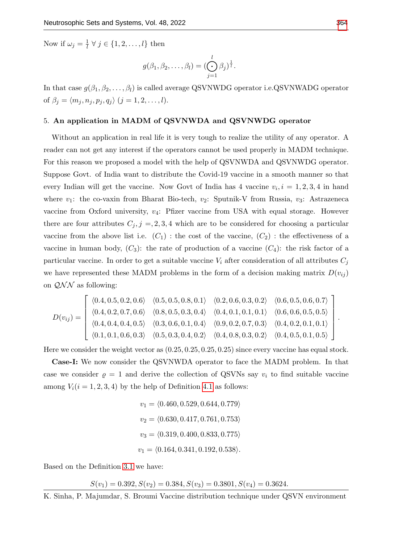Now if  $\omega_j = \frac{1}{l}$  $\frac{1}{l} \forall j \in \{1, 2, \ldots, l\}$  then

$$
g(\beta_1, \beta_2, \ldots, \beta_l) = (\bigodot_{j=1}^l \beta_j)^{\frac{1}{l}}.
$$

In that case  $g(\beta_1, \beta_2, \ldots, \beta_l)$  is called average QSVNWDG operator i.e.QSVNWADG operator of  $\beta_j = \langle m_j , n_j , p_j , q_j \rangle$   $(j = 1, 2, \dots, l).$ 

## 5. An application in MADM of QSVNWDA and QSVNWDG operator

Without an application in real life it is very tough to realize the utility of any operator. A reader can not get any interest if the operators cannot be used properly in MADM technique. For this reason we proposed a model with the help of QSVNWDA and QSVNWDG operator. Suppose Govt. of India want to distribute the Covid-19 vaccine in a smooth manner so that every Indian will get the vaccine. Now Govt of India has 4 vaccine  $v_i, i = 1, 2, 3, 4$  in hand where  $v_1$ : the co-vaxin from Bharat Bio-tech,  $v_2$ : Sputnik-V from Russia,  $v_3$ : Astrazeneca vaccine from Oxford university,  $v_4$ : Pfizer vaccine from USA with equal storage. However there are four attributes  $C_j$ ,  $j = 2, 3, 4$  which are to be considered for choosing a particular vaccine from the above list i.e.  $(C_1)$ : the cost of the vaccine,  $(C_2)$ : the effectiveness of a vaccine in human body,  $(C_3)$ : the rate of production of a vaccine  $(C_4)$ : the risk factor of a particular vaccine. In order to get a suitable vaccine  $V_i$  after consideration of all attributes  $C_j$ we have represented these MADM problems in the form of a decision making matrix  $D(v_{ij})$ on  $QNN$  as following:

$$
D(v_{ij}) = \begin{bmatrix} \langle 0.4, 0.5, 0.2, 0.6 \rangle & \langle 0.5, 0.5, 0.8, 0.1 \rangle & \langle 0.2, 0.6, 0.3, 0.2 \rangle & \langle 0.6, 0.5, 0.6, 0.7 \rangle \\ \langle 0.4, 0.2, 0.7, 0.6 \rangle & \langle 0.8, 0.5, 0.3, 0.4 \rangle & \langle 0.4, 0.1, 0.1, 0.1 \rangle & \langle 0.6, 0.6, 0.5, 0.5 \rangle \\ \langle 0.4, 0.4, 0.4, 0.5 \rangle & \langle 0.3, 0.6, 0.1, 0.4 \rangle & \langle 0.9, 0.2, 0.7, 0.3 \rangle & \langle 0.4, 0.2, 0.1, 0.1 \rangle \\ \langle 0.1, 0.1, 0.6, 0.3 \rangle & \langle 0.5, 0.3, 0.4, 0.2 \rangle & \langle 0.4, 0.8, 0.3, 0.2 \rangle & \langle 0.4, 0.5, 0.1, 0.5 \rangle \end{bmatrix}
$$

Here we consider the weight vector as (0.25, 0.25, 0.25, 0.25) since every vaccine has equal stock.

Case-I: We now consider the QSVNWDA operator to face the MADM problem. In that case we consider  $\rho = 1$  and derive the collection of QSVNs say  $v_i$  to find suitable vaccine among  $V_i(i = 1, 2, 3, 4)$  by the help of Definition [4.1](#page-3-0) as follows:

$$
v_1 = \langle 0.460, 0.529, 0.644, 0.779 \rangle
$$
  
\n
$$
v_2 = \langle 0.630, 0.417, 0.761, 0.753 \rangle
$$
  
\n
$$
v_3 = \langle 0.319, 0.400, 0.833, 0.775 \rangle
$$
  
\n
$$
v_1 = \langle 0.164, 0.341, 0.192, 0.538 \rangle.
$$

Based on the Definition [3.1](#page-2-0) we have:

 $S(v_1) = 0.392, S(v_2) = 0.384, S(v_3) = 0.3801, S(v_4) = 0.3624.$ 

.

K. Sinha, P. Majumdar, S. Broumi Vaccine distribution technique under QSVN environment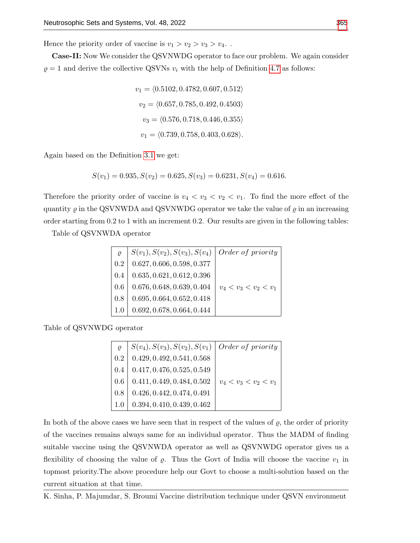Hence the priority order of vaccine is  $v_1 > v_2 > v_3 > v_4$ .

Case-II: Now We consider the QSVNWDG operator to face our problem. We again consider  $\rho = 1$  and derive the collective QSVNs  $v_i$  with the help of Definition [4.7](#page-6-1) as follows:

$$
v_1 = \langle 0.5102, 0.4782, 0.607, 0.512 \rangle
$$
  
\n
$$
v_2 = \langle 0.657, 0.785, 0.492, 0.4503 \rangle
$$
  
\n
$$
v_3 = \langle 0.576, 0.718, 0.446, 0.355 \rangle
$$
  
\n
$$
v_1 = \langle 0.739, 0.758, 0.403, 0.628 \rangle.
$$

Again based on the Definition [3.1](#page-2-0) we get:

$$
S(v_1) = 0.935, S(v_2) = 0.625, S(v_3) = 0.6231, S(v_4) = 0.616.
$$

Therefore the priority order of vaccine is  $v_4 < v_3 < v_2 < v_1$ . To find the more effect of the quantity  $\varrho$  in the QSVNWDA and QSVNWDG operator we take the value of  $\varrho$  in an increasing order starting from 0.2 to 1 with an increment 0.2. Our results are given in the following tables:

Table of QSVNWDA operator

| $\varrho$ | $S(v_1), S(v_2), S(v_3), S(v_4)$ | $\int$ <i>Order of priority</i> |
|-----------|----------------------------------|---------------------------------|
| $0.2\,$   | 0.627, 0.606, 0.598, 0.377       |                                 |
| 0.4       | 0.635, 0.621, 0.612, 0.396       |                                 |
| $0.6\,$   | 0.676, 0.648, 0.639, 0.404       | $v_4 < v_3 < v_2 < v_1$         |
| 0.8       | 0.695, 0.664, 0.652, 0.418       |                                 |
| 1.0       | 0.692, 0.678, 0.664, 0.444       |                                 |

Table of QSVNWDG operator

| $\mathcal{O}$ | $S(v_4), S(v_3), S(v_2), S(v_1)$ | Order of priority       |
|---------------|----------------------------------|-------------------------|
| 0.2           | 0.429, 0.492, 0.541, 0.568       |                         |
| 0.4           | 0.417, 0.476, 0.525, 0.549       |                         |
| 0.6           | 0.411, 0.449, 0.484, 0.502       | $v_4 < v_3 < v_2 < v_1$ |
| 0.8           | 0.426, 0.442, 0.474, 0.491       |                         |
| 1.0           | 0.394, 0.410, 0.439, 0.462       |                         |

In both of the above cases we have seen that in respect of the values of  $\rho$ , the order of priority of the vaccines remains always same for an individual operator. Thus the MADM of finding suitable vaccine using the QSVNWDA operator as well as QSVNWDG operator gives us a flexibility of choosing the value of  $\varrho$ . Thus the Govt of India will choose the vaccine  $v_1$  in topmost priority.The above procedure help our Govt to choose a multi-solution based on the current situation at that time.

K. Sinha, P. Majumdar, S. Broumi Vaccine distribution technique under QSVN environment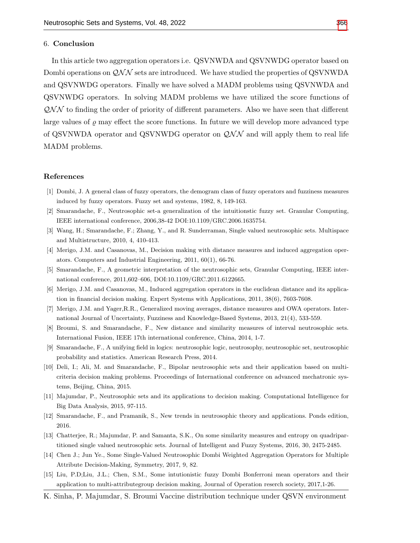#### 6. Conclusion

In this article two aggregation operators i.e. QSVNWDA and QSVNWDG operator based on Dombi operations on  $\mathcal{QNN}$  sets are introduced. We have studied the properties of QSVNWDA and QSVNWDG operators. Finally we have solved a MADM problems using QSVNWDA and QSVNWDG operators. In solving MADM problems we have utilized the score functions of  $\mathcal{QNN}$  to finding the order of priority of different parameters. Also we have seen that different large values of  $\rho$  may effect the score functions. In future we will develop more advanced type of QSVNWDA operator and QSVNWDG operator on  $\mathcal{QNN}$  and will apply them to real life MADM problems.

### References

- <span id="page-10-4"></span>[1] Dombi, J. A general class of fuzzy operators, the demogram class of fuzzy operators and fuzziness measures induced by fuzzy operators. Fuzzy set and systems, 1982, 8, 149-163.
- <span id="page-10-0"></span>[2] Smarandache, F., Neutrosophic set-a generalization of the intuitionstic fuzzy set. Granular Computing, IEEE international conference, 2006,38-42 DOI:10.1109/GRC.2006.1635754.
- <span id="page-10-1"></span>[3] Wang, H.; Smarandache, F.; Zhang, Y., and R. Sunderraman, Single valued neutrosophic sets. Multispace and Multistructure, 2010, 4, 410-413.
- [4] Merigo, J.M. and Casanovas, M., Decision making with distance measures and induced aggregation operators. Computers and Industrial Engineering, 2011, 60(1), 66-76.
- [5] Smarandache, F., A geometric interpretation of the neutrosophic sets, Granular Computing, IEEE international conference, 2011,602–606, DOI:10.1109/GRC.2011.6122665.
- [6] Merigo, J.M. and Casanovas, M., Induced aggregation operators in the euclidean distance and its application in financial decision making. Expert Systems with Applications, 2011, 38(6), 7603-7608.
- [7] Merigo, J.M. and Yager,R.R., Generalized moving averages, distance measures and OWA operators. International Journal of Uncertainty, Fuzziness and Knowledge-Based Systems, 2013, 21(4), 533-559.
- [8] Broumi, S. and Smarandache, F., New distance and similarity measures of interval neutrosophic sets. International Fusion, IEEE 17th international conference, China, 2014, 1-7.
- [9] Smarandache, F., A unifying field in logics: neutrosophic logic, neutrosophy, neutrosophic set, neutrosophic probability and statistics. American Research Press, 2014.
- [10] Deli, I.; Ali, M. and Smarandache, F., Bipolar neutrosophic sets and their application based on multicriteria decision making problems. Proceedings of International conference on advanced mechatronic systems, Beijing, China, 2015.
- [11] Majumdar, P., Neutrosophic sets and its applications to decision making. Computational Intelligence for Big Data Analysis, 2015, 97-115.
- <span id="page-10-2"></span>[12] Smarandache, F., and Pramanik, S., New trends in neutrosophic theory and applications. Ponds edition, 2016.
- <span id="page-10-3"></span>[13] Chatterjee, R.; Majumdar, P. and Samanta, S.K., On some similarity measures and entropy on quadripartitioned single valued neutrosophic sets. Journal of Intelligent and Fuzzy Systems, 2016, 30, 2475-2485.
- <span id="page-10-6"></span>[14] Chen J.; Jun Ye., Some Single-Valued Neutrosophic Dombi Weighted Aggregation Operators for Multiple Attribute Decision-Making, Symmetry, 2017, 9, 82.
- <span id="page-10-5"></span>[15] Liu, P.D;Liu, J.L.; Chen, S.M., Some intutionistic fuzzy Dombi Bonferroni mean operators and their application to multi-attributegroup decision making, Journal of Operation reserch society, 2017,1-26.
- K. Sinha, P. Majumdar, S. Broumi Vaccine distribution technique under QSVN environment